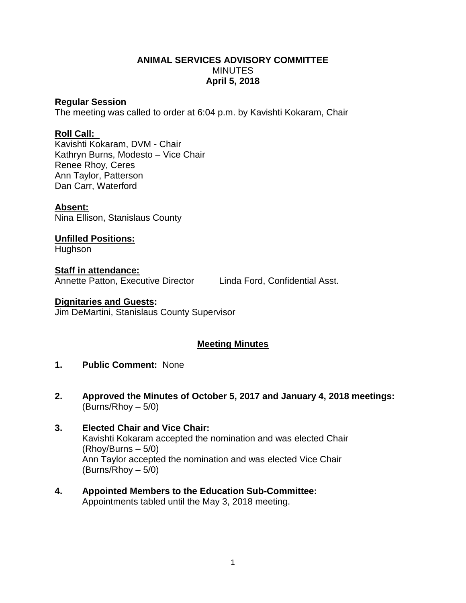# **ANIMAL SERVICES ADVISORY COMMITTEE MINUTES April 5, 2018**

### **Regular Session**

The meeting was called to order at 6:04 p.m. by Kavishti Kokaram, Chair

## **Roll Call:**

Kavishti Kokaram, DVM - Chair Kathryn Burns, Modesto – Vice Chair Renee Rhoy, Ceres Ann Taylor, Patterson Dan Carr, Waterford

## **Absent:**

Nina Ellison, Stanislaus County

**Unfilled Positions:** Hughson

**Staff in attendance:** Annette Patton, Executive Director Linda Ford, Confidential Asst.

#### **Dignitaries and Guests:**

Jim DeMartini, Stanislaus County Supervisor

## **Meeting Minutes**

# **1. Public Comment:** None

- **2. Approved the Minutes of October 5, 2017 and January 4, 2018 meetings:** (Burns/Rhoy – 5/0)
- **3. Elected Chair and Vice Chair:**  Kavishti Kokaram accepted the nomination and was elected Chair (Rhoy/Burns – 5/0) Ann Taylor accepted the nomination and was elected Vice Chair (Burns/Rhoy – 5/0)
- **4. Appointed Members to the Education Sub-Committee:** Appointments tabled until the May 3, 2018 meeting.